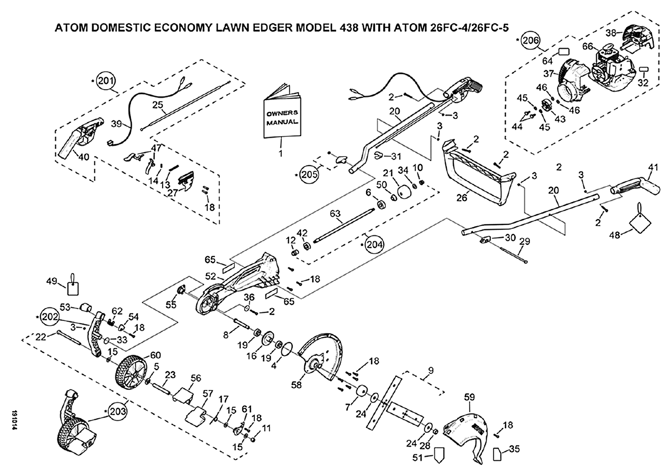